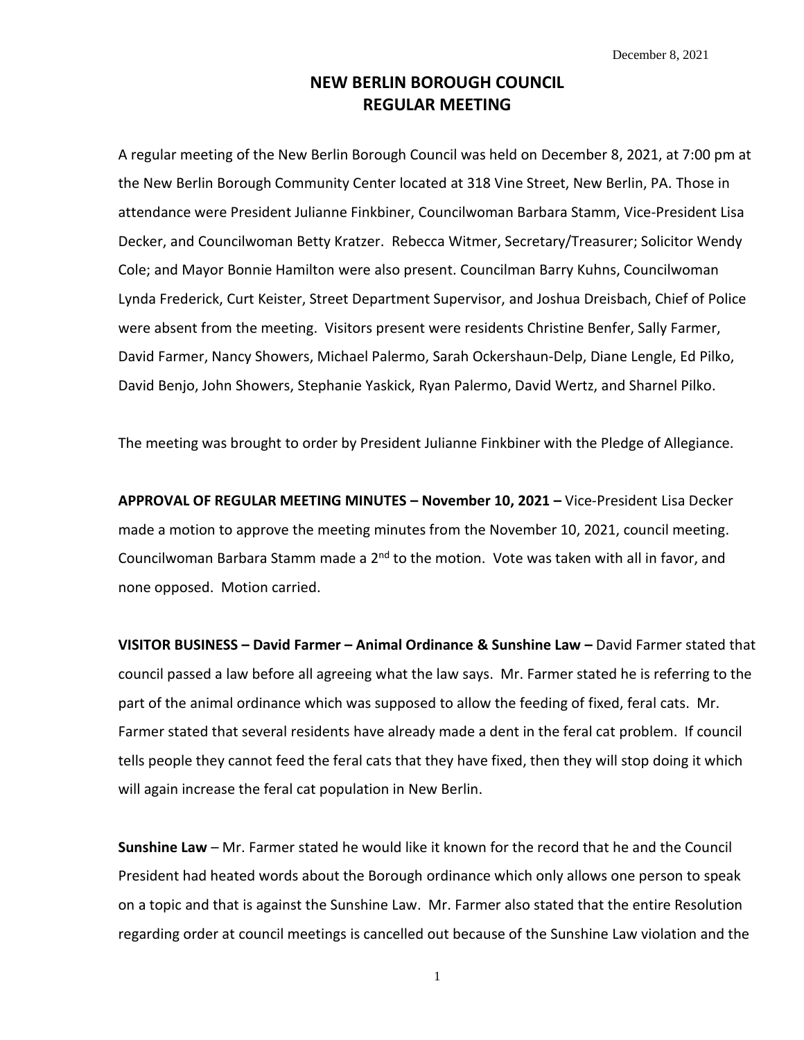December 8, 2021

## **NEW BERLIN BOROUGH COUNCIL REGULAR MEETING**

A regular meeting of the New Berlin Borough Council was held on December 8, 2021, at 7:00 pm at the New Berlin Borough Community Center located at 318 Vine Street, New Berlin, PA. Those in attendance were President Julianne Finkbiner, Councilwoman Barbara Stamm, Vice-President Lisa Decker, and Councilwoman Betty Kratzer. Rebecca Witmer, Secretary/Treasurer; Solicitor Wendy Cole; and Mayor Bonnie Hamilton were also present. Councilman Barry Kuhns, Councilwoman Lynda Frederick, Curt Keister, Street Department Supervisor, and Joshua Dreisbach, Chief of Police were absent from the meeting. Visitors present were residents Christine Benfer, Sally Farmer, David Farmer, Nancy Showers, Michael Palermo, Sarah Ockershaun-Delp, Diane Lengle, Ed Pilko, David Benjo, John Showers, Stephanie Yaskick, Ryan Palermo, David Wertz, and Sharnel Pilko.

The meeting was brought to order by President Julianne Finkbiner with the Pledge of Allegiance.

**APPROVAL OF REGULAR MEETING MINUTES – November 10, 2021 –** Vice-President Lisa Decker made a motion to approve the meeting minutes from the November 10, 2021, council meeting. Councilwoman Barbara Stamm made a 2<sup>nd</sup> to the motion. Vote was taken with all in favor, and none opposed. Motion carried.

**VISITOR BUSINESS – David Farmer – Animal Ordinance & Sunshine Law –** David Farmer stated that council passed a law before all agreeing what the law says. Mr. Farmer stated he is referring to the part of the animal ordinance which was supposed to allow the feeding of fixed, feral cats. Mr. Farmer stated that several residents have already made a dent in the feral cat problem. If council tells people they cannot feed the feral cats that they have fixed, then they will stop doing it which will again increase the feral cat population in New Berlin.

**Sunshine Law** – Mr. Farmer stated he would like it known for the record that he and the Council President had heated words about the Borough ordinance which only allows one person to speak on a topic and that is against the Sunshine Law. Mr. Farmer also stated that the entire Resolution regarding order at council meetings is cancelled out because of the Sunshine Law violation and the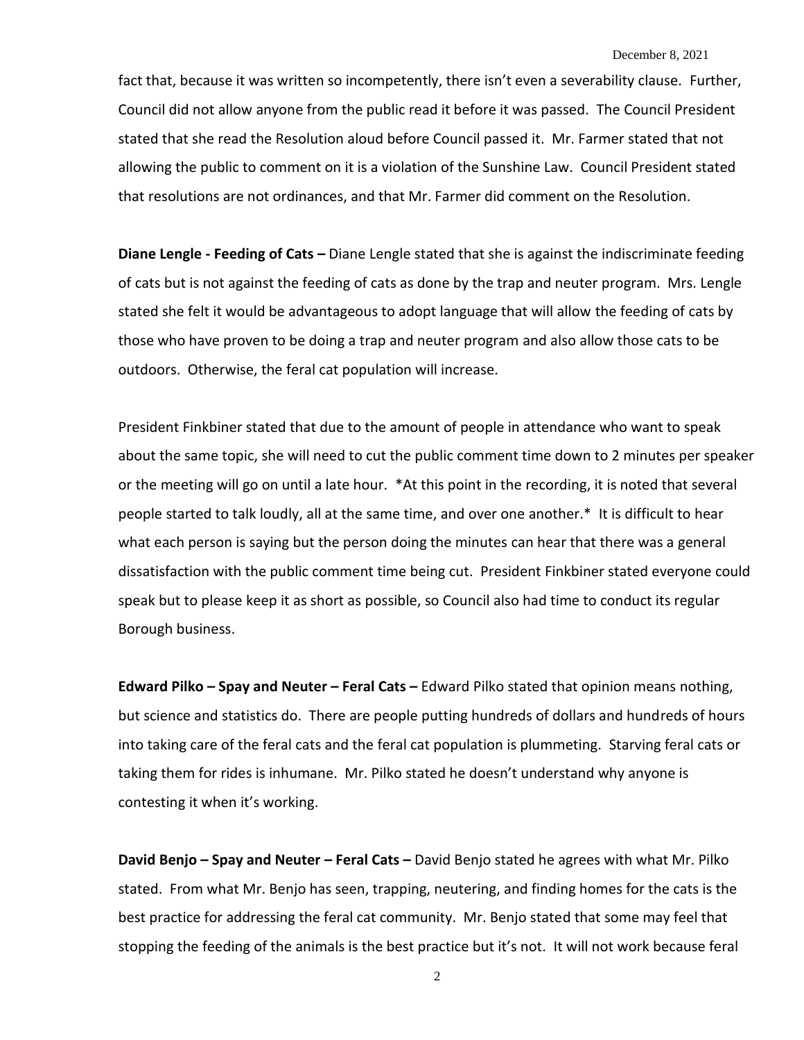fact that, because it was written so incompetently, there isn't even a severability clause. Further, Council did not allow anyone from the public read it before it was passed. The Council President stated that she read the Resolution aloud before Council passed it. Mr. Farmer stated that not allowing the public to comment on it is a violation of the Sunshine Law. Council President stated that resolutions are not ordinances, and that Mr. Farmer did comment on the Resolution.

**Diane Lengle - Feeding of Cats –** Diane Lengle stated that she is against the indiscriminate feeding of cats but is not against the feeding of cats as done by the trap and neuter program. Mrs. Lengle stated she felt it would be advantageous to adopt language that will allow the feeding of cats by those who have proven to be doing a trap and neuter program and also allow those cats to be outdoors. Otherwise, the feral cat population will increase.

President Finkbiner stated that due to the amount of people in attendance who want to speak about the same topic, she will need to cut the public comment time down to 2 minutes per speaker or the meeting will go on until a late hour. \*At this point in the recording, it is noted that several people started to talk loudly, all at the same time, and over one another.\* It is difficult to hear what each person is saying but the person doing the minutes can hear that there was a general dissatisfaction with the public comment time being cut. President Finkbiner stated everyone could speak but to please keep it as short as possible, so Council also had time to conduct its regular Borough business.

**Edward Pilko – Spay and Neuter – Feral Cats –** Edward Pilko stated that opinion means nothing, but science and statistics do. There are people putting hundreds of dollars and hundreds of hours into taking care of the feral cats and the feral cat population is plummeting. Starving feral cats or taking them for rides is inhumane. Mr. Pilko stated he doesn't understand why anyone is contesting it when it's working.

**David Benjo – Spay and Neuter – Feral Cats –** David Benjo stated he agrees with what Mr. Pilko stated. From what Mr. Benjo has seen, trapping, neutering, and finding homes for the cats is the best practice for addressing the feral cat community. Mr. Benjo stated that some may feel that stopping the feeding of the animals is the best practice but it's not. It will not work because feral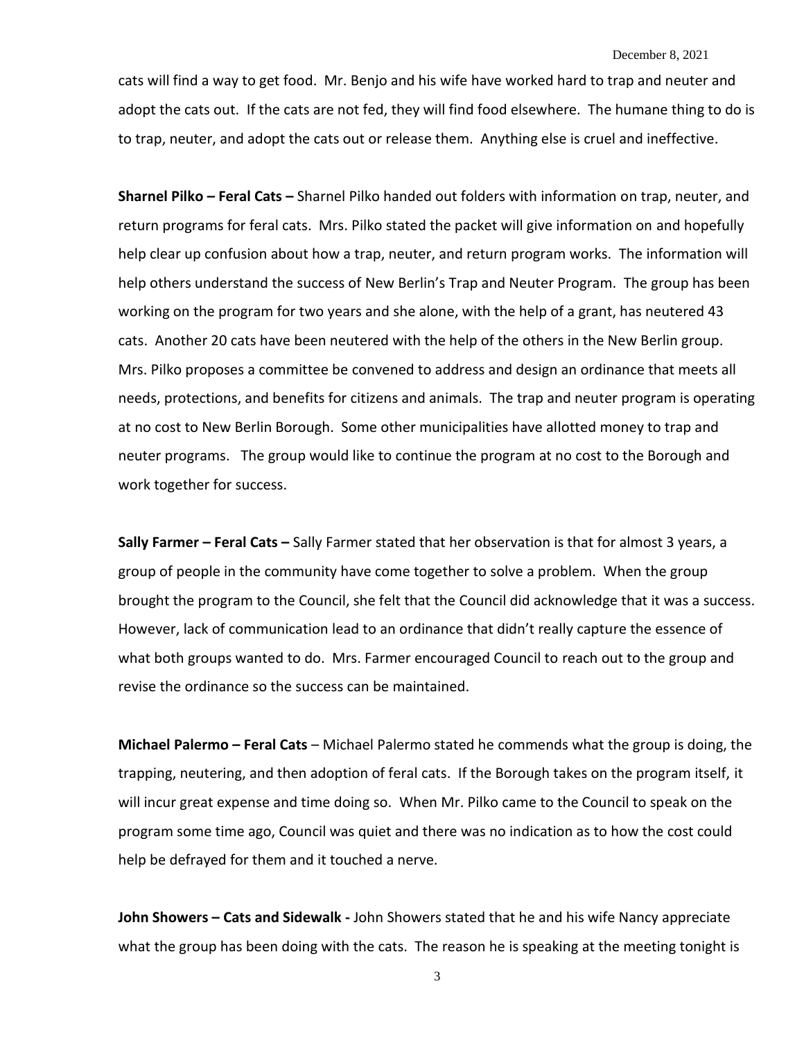## December 8, 2021

cats will find a way to get food. Mr. Benjo and his wife have worked hard to trap and neuter and adopt the cats out. If the cats are not fed, they will find food elsewhere. The humane thing to do is to trap, neuter, and adopt the cats out or release them. Anything else is cruel and ineffective.

**Sharnel Pilko – Feral Cats –** Sharnel Pilko handed out folders with information on trap, neuter, and return programs for feral cats. Mrs. Pilko stated the packet will give information on and hopefully help clear up confusion about how a trap, neuter, and return program works. The information will help others understand the success of New Berlin's Trap and Neuter Program. The group has been working on the program for two years and she alone, with the help of a grant, has neutered 43 cats. Another 20 cats have been neutered with the help of the others in the New Berlin group. Mrs. Pilko proposes a committee be convened to address and design an ordinance that meets all needs, protections, and benefits for citizens and animals. The trap and neuter program is operating at no cost to New Berlin Borough. Some other municipalities have allotted money to trap and neuter programs. The group would like to continue the program at no cost to the Borough and work together for success.

**Sally Farmer – Feral Cats –** Sally Farmer stated that her observation is that for almost 3 years, a group of people in the community have come together to solve a problem. When the group brought the program to the Council, she felt that the Council did acknowledge that it was a success. However, lack of communication lead to an ordinance that didn't really capture the essence of what both groups wanted to do. Mrs. Farmer encouraged Council to reach out to the group and revise the ordinance so the success can be maintained.

**Michael Palermo – Feral Cats** – Michael Palermo stated he commends what the group is doing, the trapping, neutering, and then adoption of feral cats. If the Borough takes on the program itself, it will incur great expense and time doing so. When Mr. Pilko came to the Council to speak on the program some time ago, Council was quiet and there was no indication as to how the cost could help be defrayed for them and it touched a nerve.

**John Showers – Cats and Sidewalk -** John Showers stated that he and his wife Nancy appreciate what the group has been doing with the cats. The reason he is speaking at the meeting tonight is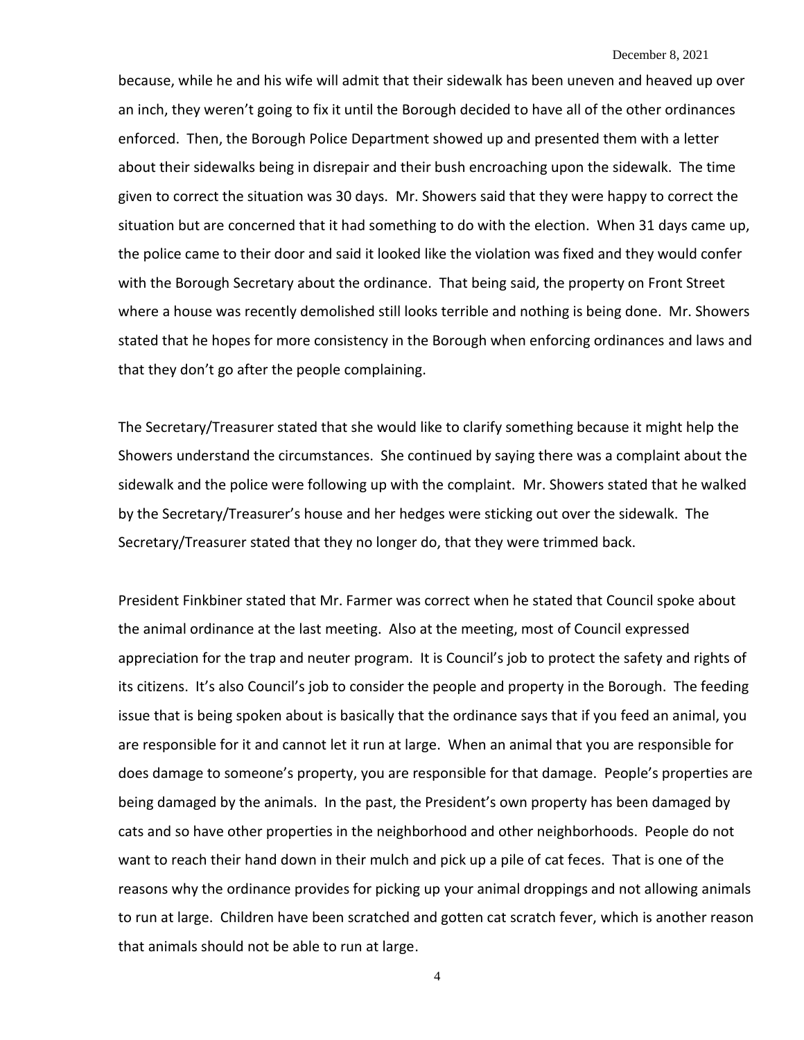because, while he and his wife will admit that their sidewalk has been uneven and heaved up over an inch, they weren't going to fix it until the Borough decided to have all of the other ordinances enforced. Then, the Borough Police Department showed up and presented them with a letter about their sidewalks being in disrepair and their bush encroaching upon the sidewalk. The time given to correct the situation was 30 days. Mr. Showers said that they were happy to correct the situation but are concerned that it had something to do with the election. When 31 days came up, the police came to their door and said it looked like the violation was fixed and they would confer with the Borough Secretary about the ordinance. That being said, the property on Front Street where a house was recently demolished still looks terrible and nothing is being done. Mr. Showers stated that he hopes for more consistency in the Borough when enforcing ordinances and laws and that they don't go after the people complaining.

The Secretary/Treasurer stated that she would like to clarify something because it might help the Showers understand the circumstances. She continued by saying there was a complaint about the sidewalk and the police were following up with the complaint. Mr. Showers stated that he walked by the Secretary/Treasurer's house and her hedges were sticking out over the sidewalk. The Secretary/Treasurer stated that they no longer do, that they were trimmed back.

President Finkbiner stated that Mr. Farmer was correct when he stated that Council spoke about the animal ordinance at the last meeting. Also at the meeting, most of Council expressed appreciation for the trap and neuter program. It is Council's job to protect the safety and rights of its citizens. It's also Council's job to consider the people and property in the Borough. The feeding issue that is being spoken about is basically that the ordinance says that if you feed an animal, you are responsible for it and cannot let it run at large. When an animal that you are responsible for does damage to someone's property, you are responsible for that damage. People's properties are being damaged by the animals. In the past, the President's own property has been damaged by cats and so have other properties in the neighborhood and other neighborhoods. People do not want to reach their hand down in their mulch and pick up a pile of cat feces. That is one of the reasons why the ordinance provides for picking up your animal droppings and not allowing animals to run at large. Children have been scratched and gotten cat scratch fever, which is another reason that animals should not be able to run at large.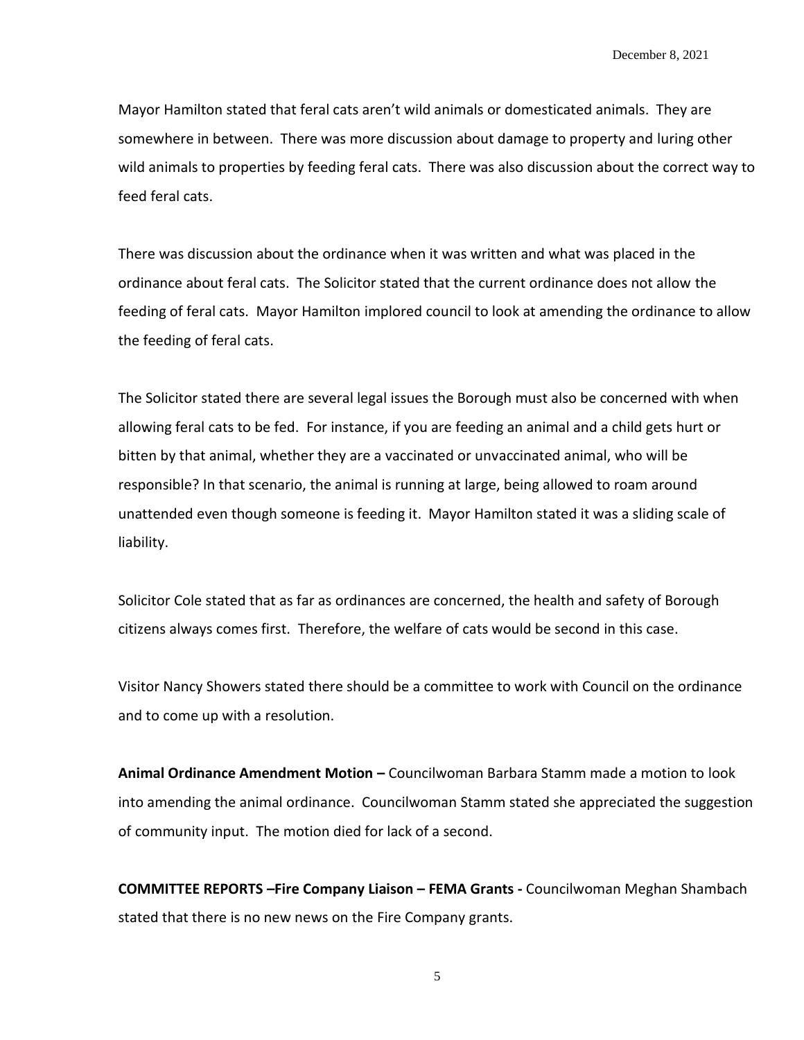Mayor Hamilton stated that feral cats aren't wild animals or domesticated animals. They are somewhere in between. There was more discussion about damage to property and luring other wild animals to properties by feeding feral cats. There was also discussion about the correct way to feed feral cats.

There was discussion about the ordinance when it was written and what was placed in the ordinance about feral cats. The Solicitor stated that the current ordinance does not allow the feeding of feral cats. Mayor Hamilton implored council to look at amending the ordinance to allow the feeding of feral cats.

The Solicitor stated there are several legal issues the Borough must also be concerned with when allowing feral cats to be fed. For instance, if you are feeding an animal and a child gets hurt or bitten by that animal, whether they are a vaccinated or unvaccinated animal, who will be responsible? In that scenario, the animal is running at large, being allowed to roam around unattended even though someone is feeding it. Mayor Hamilton stated it was a sliding scale of liability.

Solicitor Cole stated that as far as ordinances are concerned, the health and safety of Borough citizens always comes first. Therefore, the welfare of cats would be second in this case.

Visitor Nancy Showers stated there should be a committee to work with Council on the ordinance and to come up with a resolution.

**Animal Ordinance Amendment Motion –** Councilwoman Barbara Stamm made a motion to look into amending the animal ordinance. Councilwoman Stamm stated she appreciated the suggestion of community input. The motion died for lack of a second.

**COMMITTEE REPORTS –Fire Company Liaison – FEMA Grants -** Councilwoman Meghan Shambach stated that there is no new news on the Fire Company grants.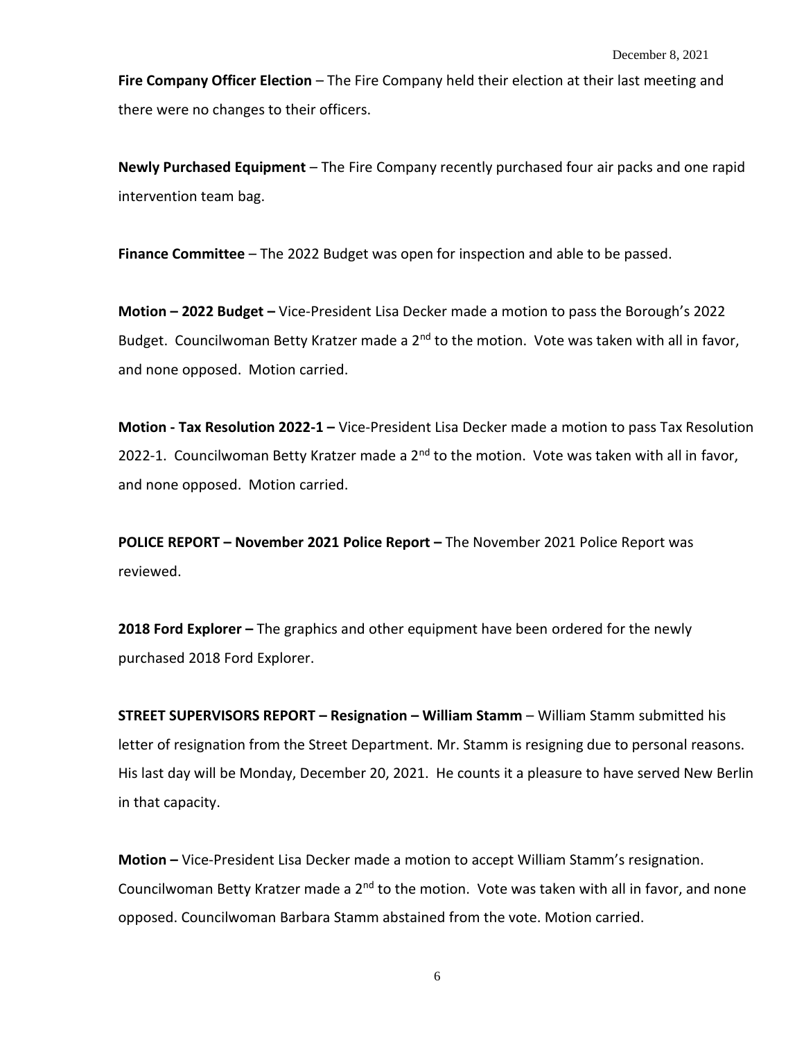**Fire Company Officer Election** – The Fire Company held their election at their last meeting and there were no changes to their officers.

**Newly Purchased Equipment** – The Fire Company recently purchased four air packs and one rapid intervention team bag.

**Finance Committee** – The 2022 Budget was open for inspection and able to be passed.

**Motion – 2022 Budget –** Vice-President Lisa Decker made a motion to pass the Borough's 2022 Budget. Councilwoman Betty Kratzer made a  $2<sup>nd</sup>$  to the motion. Vote was taken with all in favor, and none opposed. Motion carried.

**Motion - Tax Resolution 2022-1 –** Vice-President Lisa Decker made a motion to pass Tax Resolution 2022-1. Councilwoman Betty Kratzer made a  $2<sup>nd</sup>$  to the motion. Vote was taken with all in favor, and none opposed. Motion carried.

**POLICE REPORT – November 2021 Police Report –** The November 2021 Police Report was reviewed.

**2018 Ford Explorer –** The graphics and other equipment have been ordered for the newly purchased 2018 Ford Explorer.

**STREET SUPERVISORS REPORT – Resignation – William Stamm** – William Stamm submitted his letter of resignation from the Street Department. Mr. Stamm is resigning due to personal reasons. His last day will be Monday, December 20, 2021. He counts it a pleasure to have served New Berlin in that capacity.

**Motion –** Vice-President Lisa Decker made a motion to accept William Stamm's resignation. Councilwoman Betty Kratzer made a 2<sup>nd</sup> to the motion. Vote was taken with all in favor, and none opposed. Councilwoman Barbara Stamm abstained from the vote. Motion carried.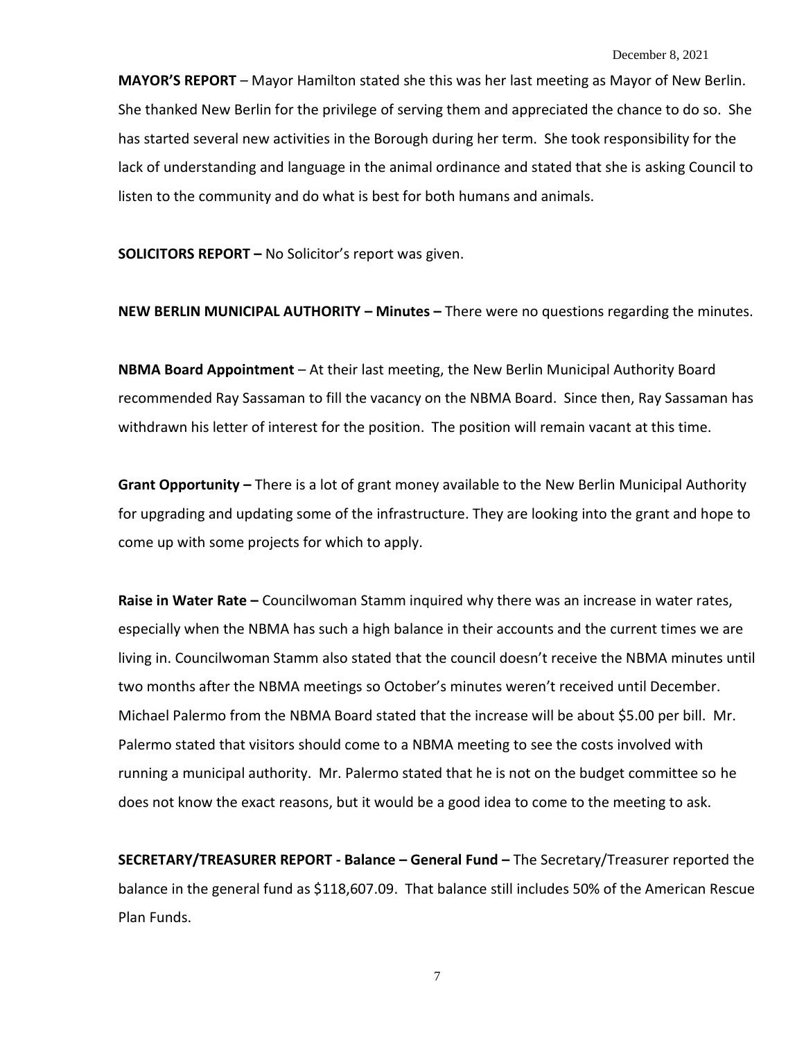**MAYOR'S REPORT** – Mayor Hamilton stated she this was her last meeting as Mayor of New Berlin. She thanked New Berlin for the privilege of serving them and appreciated the chance to do so. She has started several new activities in the Borough during her term. She took responsibility for the lack of understanding and language in the animal ordinance and stated that she is asking Council to listen to the community and do what is best for both humans and animals.

**SOLICITORS REPORT –** No Solicitor's report was given.

**NEW BERLIN MUNICIPAL AUTHORITY – Minutes –** There were no questions regarding the minutes.

**NBMA Board Appointment** – At their last meeting, the New Berlin Municipal Authority Board recommended Ray Sassaman to fill the vacancy on the NBMA Board. Since then, Ray Sassaman has withdrawn his letter of interest for the position. The position will remain vacant at this time.

**Grant Opportunity –** There is a lot of grant money available to the New Berlin Municipal Authority for upgrading and updating some of the infrastructure. They are looking into the grant and hope to come up with some projects for which to apply.

**Raise in Water Rate –** Councilwoman Stamm inquired why there was an increase in water rates, especially when the NBMA has such a high balance in their accounts and the current times we are living in. Councilwoman Stamm also stated that the council doesn't receive the NBMA minutes until two months after the NBMA meetings so October's minutes weren't received until December. Michael Palermo from the NBMA Board stated that the increase will be about \$5.00 per bill. Mr. Palermo stated that visitors should come to a NBMA meeting to see the costs involved with running a municipal authority. Mr. Palermo stated that he is not on the budget committee so he does not know the exact reasons, but it would be a good idea to come to the meeting to ask.

**SECRETARY/TREASURER REPORT - Balance – General Fund –** The Secretary/Treasurer reported the balance in the general fund as \$118,607.09. That balance still includes 50% of the American Rescue Plan Funds.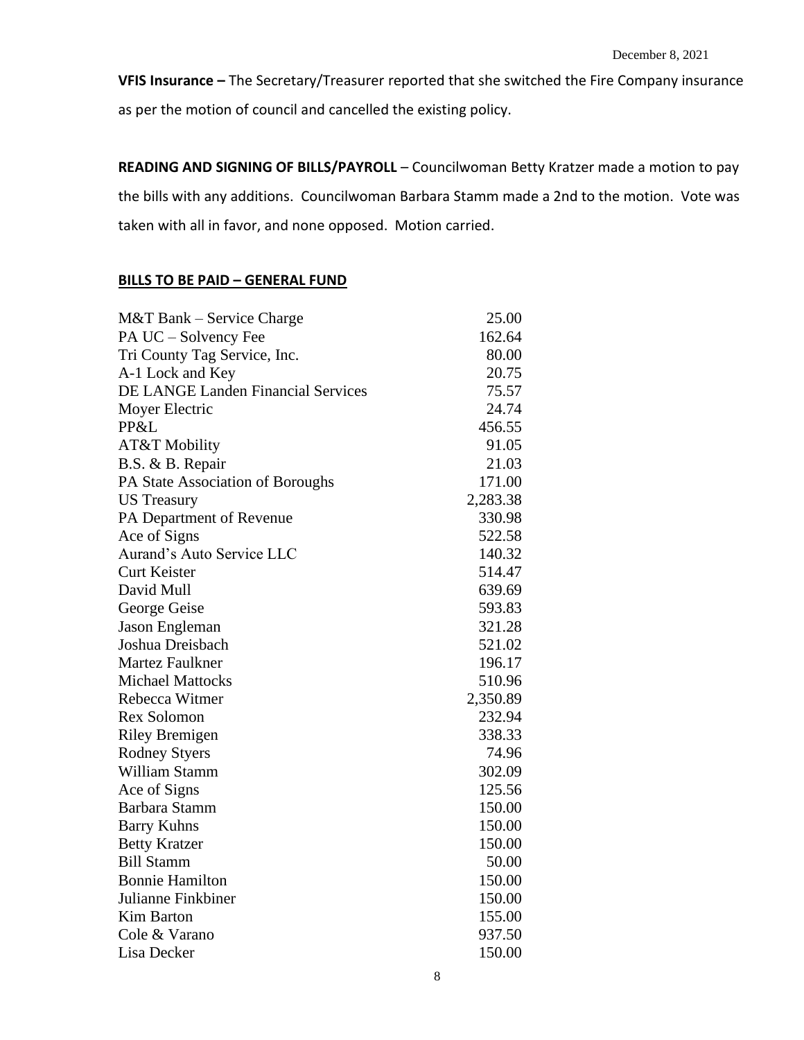**VFIS Insurance –** The Secretary/Treasurer reported that she switched the Fire Company insurance as per the motion of council and cancelled the existing policy.

**READING AND SIGNING OF BILLS/PAYROLL** – Councilwoman Betty Kratzer made a motion to pay the bills with any additions. Councilwoman Barbara Stamm made a 2nd to the motion. Vote was taken with all in favor, and none opposed. Motion carried.

## **BILLS TO BE PAID – GENERAL FUND**

| M&T Bank – Service Charge                 | 25.00    |
|-------------------------------------------|----------|
| PA UC - Solvency Fee                      | 162.64   |
| Tri County Tag Service, Inc.              | 80.00    |
| A-1 Lock and Key                          | 20.75    |
| <b>DE LANGE Landen Financial Services</b> | 75.57    |
| Moyer Electric                            | 24.74    |
| PP&L                                      | 456.55   |
| <b>AT&amp;T Mobility</b>                  | 91.05    |
| B.S. & B. Repair                          | 21.03    |
| PA State Association of Boroughs          | 171.00   |
| <b>US</b> Treasury                        | 2,283.38 |
| PA Department of Revenue                  | 330.98   |
| Ace of Signs                              | 522.58   |
| Aurand's Auto Service LLC                 | 140.32   |
| <b>Curt Keister</b>                       | 514.47   |
| David Mull                                | 639.69   |
| George Geise                              | 593.83   |
| Jason Engleman                            | 321.28   |
| Joshua Dreisbach                          | 521.02   |
| <b>Martez Faulkner</b>                    | 196.17   |
| <b>Michael Mattocks</b>                   | 510.96   |
| Rebecca Witmer                            | 2,350.89 |
| Rex Solomon                               | 232.94   |
| <b>Riley Bremigen</b>                     | 338.33   |
| <b>Rodney Styers</b>                      | 74.96    |
| William Stamm                             | 302.09   |
| Ace of Signs                              | 125.56   |
| Barbara Stamm                             | 150.00   |
| <b>Barry Kuhns</b>                        | 150.00   |
| <b>Betty Kratzer</b>                      | 150.00   |
| <b>Bill Stamm</b>                         | 50.00    |
| <b>Bonnie Hamilton</b>                    | 150.00   |
| Julianne Finkbiner                        | 150.00   |
| <b>Kim Barton</b>                         | 155.00   |
| Cole & Varano                             | 937.50   |
| Lisa Decker                               | 150.00   |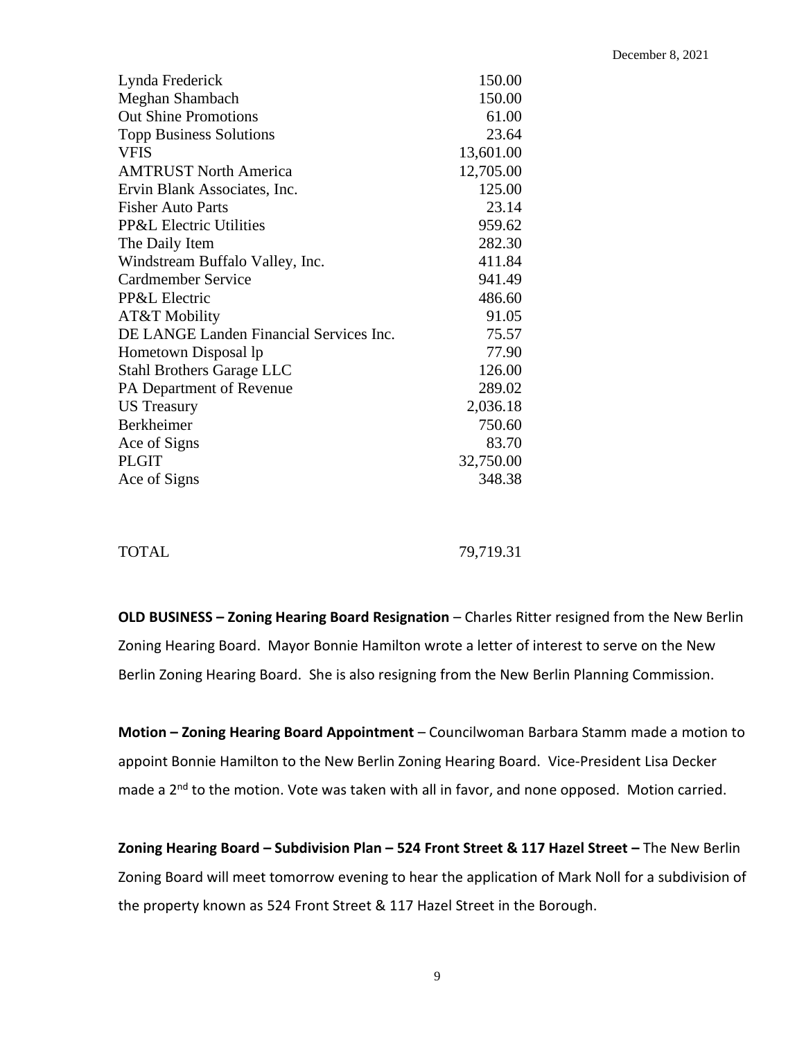| Lynda Frederick                         | 150.00    |
|-----------------------------------------|-----------|
| Meghan Shambach                         | 150.00    |
| <b>Out Shine Promotions</b>             | 61.00     |
| <b>Topp Business Solutions</b>          | 23.64     |
| <b>VFIS</b>                             | 13,601.00 |
| <b>AMTRUST North America</b>            | 12,705.00 |
| Ervin Blank Associates, Inc.            | 125.00    |
| <b>Fisher Auto Parts</b>                | 23.14     |
| <b>PP&amp;L Electric Utilities</b>      | 959.62    |
| The Daily Item                          | 282.30    |
| Windstream Buffalo Valley, Inc.         | 411.84    |
| Cardmember Service                      | 941.49    |
| PP&L Electric                           | 486.60    |
| AT&T Mobility                           | 91.05     |
| DE LANGE Landen Financial Services Inc. | 75.57     |
| Hometown Disposal lp                    | 77.90     |
| <b>Stahl Brothers Garage LLC</b>        | 126.00    |
| PA Department of Revenue                | 289.02    |
| <b>US</b> Treasury                      | 2,036.18  |
| Berkheimer                              | 750.60    |
| Ace of Signs                            | 83.70     |
| <b>PLGIT</b>                            | 32,750.00 |
| Ace of Signs                            | 348.38    |
|                                         |           |

TOTAL 79,719.31

**OLD BUSINESS – Zoning Hearing Board Resignation** – Charles Ritter resigned from the New Berlin Zoning Hearing Board. Mayor Bonnie Hamilton wrote a letter of interest to serve on the New Berlin Zoning Hearing Board. She is also resigning from the New Berlin Planning Commission.

**Motion – Zoning Hearing Board Appointment** – Councilwoman Barbara Stamm made a motion to appoint Bonnie Hamilton to the New Berlin Zoning Hearing Board. Vice-President Lisa Decker made a 2<sup>nd</sup> to the motion. Vote was taken with all in favor, and none opposed. Motion carried.

**Zoning Hearing Board – Subdivision Plan – 524 Front Street & 117 Hazel Street –** The New Berlin Zoning Board will meet tomorrow evening to hear the application of Mark Noll for a subdivision of the property known as 524 Front Street & 117 Hazel Street in the Borough.